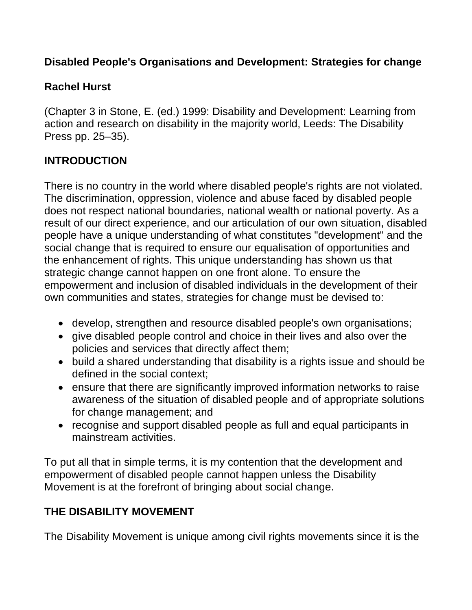#### **Disabled People's Organisations and Development: Strategies for change**

## **Rachel Hurst**

(Chapter 3 in Stone, E. (ed.) 1999: Disability and Development: Learning from action and research on disability in the majority world, Leeds: The Disability Press pp. 25–35).

## **INTRODUCTION**

There is no country in the world where disabled people's rights are not violated. The discrimination, oppression, violence and abuse faced by disabled people does not respect national boundaries, national wealth or national poverty. As a result of our direct experience, and our articulation of our own situation, disabled people have a unique understanding of what constitutes "development" and the social change that is required to ensure our equalisation of opportunities and the enhancement of rights. This unique understanding has shown us that strategic change cannot happen on one front alone. To ensure the empowerment and inclusion of disabled individuals in the development of their own communities and states, strategies for change must be devised to:

- develop, strengthen and resource disabled people's own organisations;
- give disabled people control and choice in their lives and also over the policies and services that directly affect them;
- build a shared understanding that disability is a rights issue and should be defined in the social context;
- ensure that there are significantly improved information networks to raise awareness of the situation of disabled people and of appropriate solutions for change management; and
- recognise and support disabled people as full and equal participants in mainstream activities.

To put all that in simple terms, it is my contention that the development and empowerment of disabled people cannot happen unless the Disability Movement is at the forefront of bringing about social change.

# **THE DISABILITY MOVEMENT**

The Disability Movement is unique among civil rights movements since it is the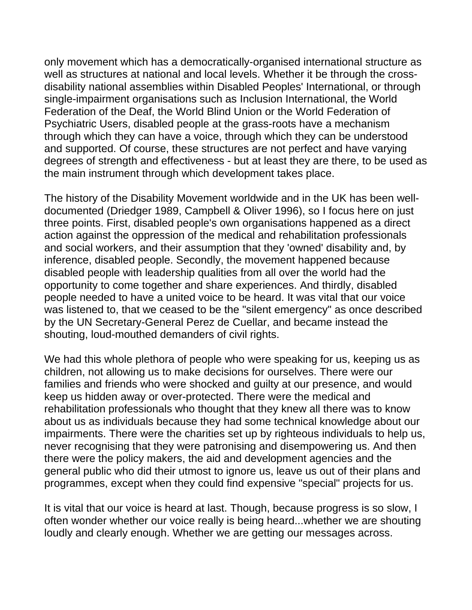only movement which has a democratically-organised international structure as well as structures at national and local levels. Whether it be through the crossdisability national assemblies within Disabled Peoples' International, or through single-impairment organisations such as Inclusion International, the World Federation of the Deaf, the World Blind Union or the World Federation of Psychiatric Users, disabled people at the grass-roots have a mechanism through which they can have a voice, through which they can be understood and supported. Of course, these structures are not perfect and have varying degrees of strength and effectiveness - but at least they are there, to be used as the main instrument through which development takes place.

The history of the Disability Movement worldwide and in the UK has been welldocumented (Driedger 1989, Campbell & Oliver 1996), so I focus here on just three points. First, disabled people's own organisations happened as a direct action against the oppression of the medical and rehabilitation professionals and social workers, and their assumption that they 'owned' disability and, by inference, disabled people. Secondly, the movement happened because disabled people with leadership qualities from all over the world had the opportunity to come together and share experiences. And thirdly, disabled people needed to have a united voice to be heard. It was vital that our voice was listened to, that we ceased to be the "silent emergency" as once described by the UN Secretary-General Perez de Cuellar, and became instead the shouting, loud-mouthed demanders of civil rights.

We had this whole plethora of people who were speaking for us, keeping us as children, not allowing us to make decisions for ourselves. There were our families and friends who were shocked and guilty at our presence, and would keep us hidden away or over-protected. There were the medical and rehabilitation professionals who thought that they knew all there was to know about us as individuals because they had some technical knowledge about our impairments. There were the charities set up by righteous individuals to help us, never recognising that they were patronising and disempowering us. And then there were the policy makers, the aid and development agencies and the general public who did their utmost to ignore us, leave us out of their plans and programmes, except when they could find expensive "special" projects for us.

It is vital that our voice is heard at last. Though, because progress is so slow, I often wonder whether our voice really is being heard...whether we are shouting loudly and clearly enough. Whether we are getting our messages across.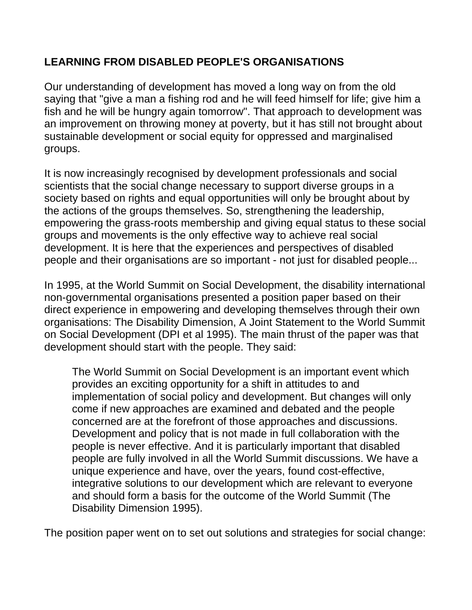### **LEARNING FROM DISABLED PEOPLE'S ORGANISATIONS**

Our understanding of development has moved a long way on from the old saying that "give a man a fishing rod and he will feed himself for life; give him a fish and he will be hungry again tomorrow". That approach to development was an improvement on throwing money at poverty, but it has still not brought about sustainable development or social equity for oppressed and marginalised groups.

It is now increasingly recognised by development professionals and social scientists that the social change necessary to support diverse groups in a society based on rights and equal opportunities will only be brought about by the actions of the groups themselves. So, strengthening the leadership, empowering the grass-roots membership and giving equal status to these social groups and movements is the only effective way to achieve real social development. It is here that the experiences and perspectives of disabled people and their organisations are so important - not just for disabled people...

In 1995, at the World Summit on Social Development, the disability international non-governmental organisations presented a position paper based on their direct experience in empowering and developing themselves through their own organisations: The Disability Dimension, A Joint Statement to the World Summit on Social Development (DPI et al 1995). The main thrust of the paper was that development should start with the people. They said:

The World Summit on Social Development is an important event which provides an exciting opportunity for a shift in attitudes to and implementation of social policy and development. But changes will only come if new approaches are examined and debated and the people concerned are at the forefront of those approaches and discussions. Development and policy that is not made in full collaboration with the people is never effective. And it is particularly important that disabled people are fully involved in all the World Summit discussions. We have a unique experience and have, over the years, found cost-effective, integrative solutions to our development which are relevant to everyone and should form a basis for the outcome of the World Summit (The Disability Dimension 1995).

The position paper went on to set out solutions and strategies for social change: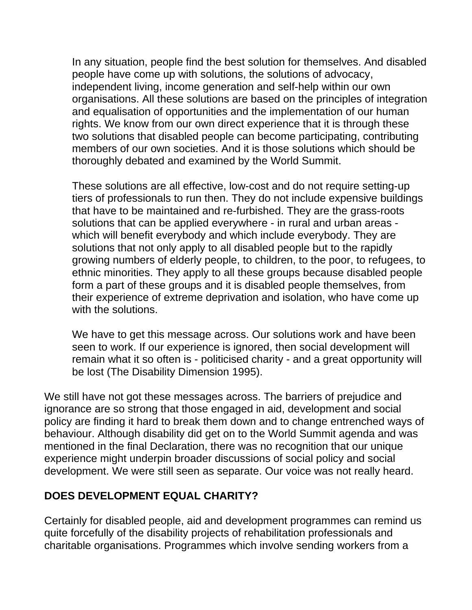In any situation, people find the best solution for themselves. And disabled people have come up with solutions, the solutions of advocacy, independent living, income generation and self-help within our own organisations. All these solutions are based on the principles of integration and equalisation of opportunities and the implementation of our human rights. We know from our own direct experience that it is through these two solutions that disabled people can become participating, contributing members of our own societies. And it is those solutions which should be thoroughly debated and examined by the World Summit.

These solutions are all effective, low-cost and do not require setting-up tiers of professionals to run then. They do not include expensive buildings that have to be maintained and re-furbished. They are the grass-roots solutions that can be applied everywhere - in rural and urban areas which will benefit everybody and which include everybody. They are solutions that not only apply to all disabled people but to the rapidly growing numbers of elderly people, to children, to the poor, to refugees, to ethnic minorities. They apply to all these groups because disabled people form a part of these groups and it is disabled people themselves, from their experience of extreme deprivation and isolation, who have come up with the solutions.

We have to get this message across. Our solutions work and have been seen to work. If our experience is ignored, then social development will remain what it so often is - politicised charity - and a great opportunity will be lost (The Disability Dimension 1995).

We still have not got these messages across. The barriers of prejudice and ignorance are so strong that those engaged in aid, development and social policy are finding it hard to break them down and to change entrenched ways of behaviour. Although disability did get on to the World Summit agenda and was mentioned in the final Declaration, there was no recognition that our unique experience might underpin broader discussions of social policy and social development. We were still seen as separate. Our voice was not really heard.

#### **DOES DEVELOPMENT EQUAL CHARITY?**

Certainly for disabled people, aid and development programmes can remind us quite forcefully of the disability projects of rehabilitation professionals and charitable organisations. Programmes which involve sending workers from a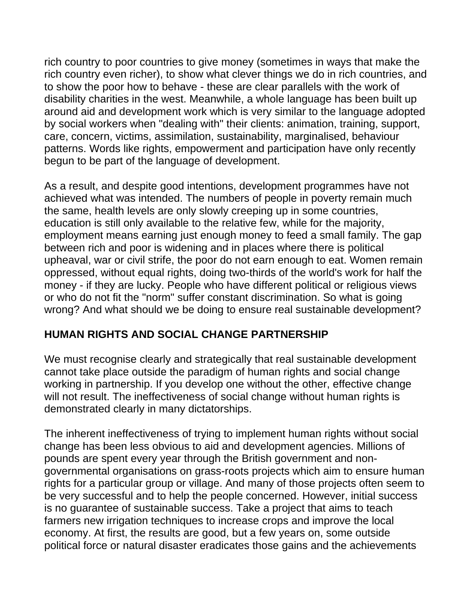rich country to poor countries to give money (sometimes in ways that make the rich country even richer), to show what clever things we do in rich countries, and to show the poor how to behave - these are clear parallels with the work of disability charities in the west. Meanwhile, a whole language has been built up around aid and development work which is very similar to the language adopted by social workers when "dealing with" their clients: animation, training, support, care, concern, victims, assimilation, sustainability, marginalised, behaviour patterns. Words like rights, empowerment and participation have only recently begun to be part of the language of development.

As a result, and despite good intentions, development programmes have not achieved what was intended. The numbers of people in poverty remain much the same, health levels are only slowly creeping up in some countries, education is still only available to the relative few, while for the majority, employment means earning just enough money to feed a small family. The gap between rich and poor is widening and in places where there is political upheaval, war or civil strife, the poor do not earn enough to eat. Women remain oppressed, without equal rights, doing two-thirds of the world's work for half the money - if they are lucky. People who have different political or religious views or who do not fit the "norm" suffer constant discrimination. So what is going wrong? And what should we be doing to ensure real sustainable development?

#### **HUMAN RIGHTS AND SOCIAL CHANGE PARTNERSHIP**

We must recognise clearly and strategically that real sustainable development cannot take place outside the paradigm of human rights and social change working in partnership. If you develop one without the other, effective change will not result. The ineffectiveness of social change without human rights is demonstrated clearly in many dictatorships.

The inherent ineffectiveness of trying to implement human rights without social change has been less obvious to aid and development agencies. Millions of pounds are spent every year through the British government and nongovernmental organisations on grass-roots projects which aim to ensure human rights for a particular group or village. And many of those projects often seem to be very successful and to help the people concerned. However, initial success is no guarantee of sustainable success. Take a project that aims to teach farmers new irrigation techniques to increase crops and improve the local economy. At first, the results are good, but a few years on, some outside political force or natural disaster eradicates those gains and the achievements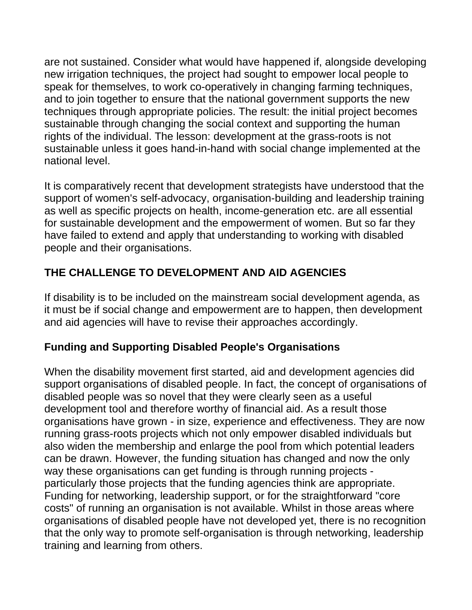are not sustained. Consider what would have happened if, alongside developing new irrigation techniques, the project had sought to empower local people to speak for themselves, to work co-operatively in changing farming techniques, and to join together to ensure that the national government supports the new techniques through appropriate policies. The result: the initial project becomes sustainable through changing the social context and supporting the human rights of the individual. The lesson: development at the grass-roots is not sustainable unless it goes hand-in-hand with social change implemented at the national level.

It is comparatively recent that development strategists have understood that the support of women's self-advocacy, organisation-building and leadership training as well as specific projects on health, income-generation etc. are all essential for sustainable development and the empowerment of women. But so far they have failed to extend and apply that understanding to working with disabled people and their organisations.

# **THE CHALLENGE TO DEVELOPMENT AND AID AGENCIES**

If disability is to be included on the mainstream social development agenda, as it must be if social change and empowerment are to happen, then development and aid agencies will have to revise their approaches accordingly.

## **Funding and Supporting Disabled People's Organisations**

When the disability movement first started, aid and development agencies did support organisations of disabled people. In fact, the concept of organisations of disabled people was so novel that they were clearly seen as a useful development tool and therefore worthy of financial aid. As a result those organisations have grown - in size, experience and effectiveness. They are now running grass-roots projects which not only empower disabled individuals but also widen the membership and enlarge the pool from which potential leaders can be drawn. However, the funding situation has changed and now the only way these organisations can get funding is through running projects particularly those projects that the funding agencies think are appropriate. Funding for networking, leadership support, or for the straightforward "core costs" of running an organisation is not available. Whilst in those areas where organisations of disabled people have not developed yet, there is no recognition that the only way to promote self-organisation is through networking, leadership training and learning from others.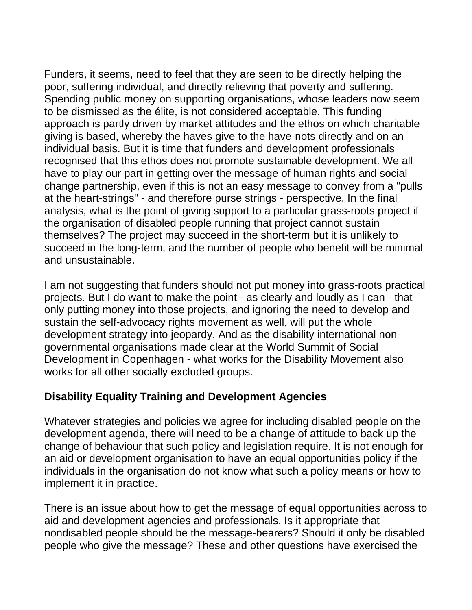Funders, it seems, need to feel that they are seen to be directly helping the poor, suffering individual, and directly relieving that poverty and suffering. Spending public money on supporting organisations, whose leaders now seem to be dismissed as the élite, is not considered acceptable. This funding approach is partly driven by market attitudes and the ethos on which charitable giving is based, whereby the haves give to the have-nots directly and on an individual basis. But it is time that funders and development professionals recognised that this ethos does not promote sustainable development. We all have to play our part in getting over the message of human rights and social change partnership, even if this is not an easy message to convey from a "pulls at the heart-strings" - and therefore purse strings - perspective. In the final analysis, what is the point of giving support to a particular grass-roots project if the organisation of disabled people running that project cannot sustain themselves? The project may succeed in the short-term but it is unlikely to succeed in the long-term, and the number of people who benefit will be minimal and unsustainable.

I am not suggesting that funders should not put money into grass-roots practical projects. But I do want to make the point - as clearly and loudly as I can - that only putting money into those projects, and ignoring the need to develop and sustain the self-advocacy rights movement as well, will put the whole development strategy into jeopardy. And as the disability international nongovernmental organisations made clear at the World Summit of Social Development in Copenhagen - what works for the Disability Movement also works for all other socially excluded groups.

#### **Disability Equality Training and Development Agencies**

Whatever strategies and policies we agree for including disabled people on the development agenda, there will need to be a change of attitude to back up the change of behaviour that such policy and legislation require. It is not enough for an aid or development organisation to have an equal opportunities policy if the individuals in the organisation do not know what such a policy means or how to implement it in practice.

There is an issue about how to get the message of equal opportunities across to aid and development agencies and professionals. Is it appropriate that nondisabled people should be the message-bearers? Should it only be disabled people who give the message? These and other questions have exercised the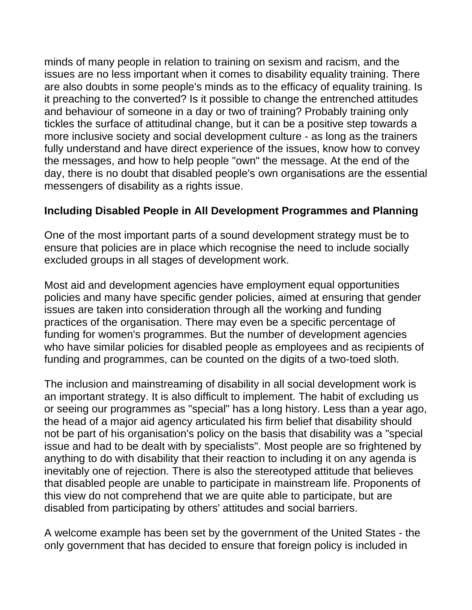minds of many people in relation to training on sexism and racism, and the issues are no less important when it comes to disability equality training. There are also doubts in some people's minds as to the efficacy of equality training. Is it preaching to the converted? Is it possible to change the entrenched attitudes and behaviour of someone in a day or two of training? Probably training only tickles the surface of attitudinal change, but it can be a positive step towards a more inclusive society and social development culture - as long as the trainers fully understand and have direct experience of the issues, know how to convey the messages, and how to help people "own" the message. At the end of the day, there is no doubt that disabled people's own organisations are the essential messengers of disability as a rights issue.

#### **Including Disabled People in All Development Programmes and Planning**

One of the most important parts of a sound development strategy must be to ensure that policies are in place which recognise the need to include socially excluded groups in all stages of development work.

Most aid and development agencies have employment equal opportunities policies and many have specific gender policies, aimed at ensuring that gender issues are taken into consideration through all the working and funding practices of the organisation. There may even be a specific percentage of funding for women's programmes. But the number of development agencies who have similar policies for disabled people as employees and as recipients of funding and programmes, can be counted on the digits of a two-toed sloth.

The inclusion and mainstreaming of disability in all social development work is an important strategy. It is also difficult to implement. The habit of excluding us or seeing our programmes as "special" has a long history. Less than a year ago, the head of a major aid agency articulated his firm belief that disability should not be part of his organisation's policy on the basis that disability was a "special issue and had to be dealt with by specialists". Most people are so frightened by anything to do with disability that their reaction to including it on any agenda is inevitably one of rejection. There is also the stereotyped attitude that believes that disabled people are unable to participate in mainstream life. Proponents of this view do not comprehend that we are quite able to participate, but are disabled from participating by others' attitudes and social barriers.

A welcome example has been set by the government of the United States - the only government that has decided to ensure that foreign policy is included in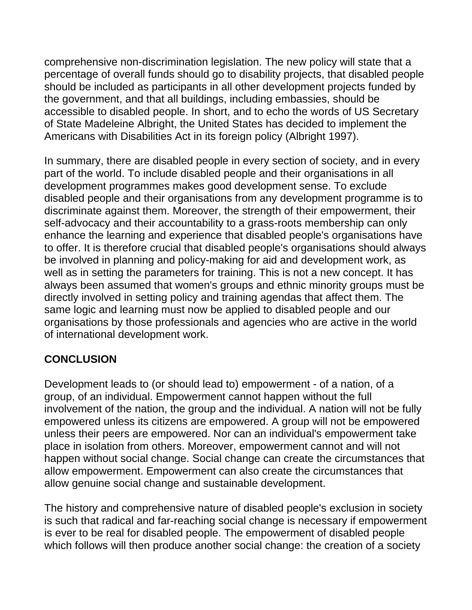comprehensive non-discrimination legislation. The new policy will state that a percentage of overall funds should go to disability projects, that disabled people should be included as participants in all other development projects funded by the government, and that all buildings, including embassies, should be accessible to disabled people. In short, and to echo the words of US Secretary of State Madeleine Albright, the United States has decided to implement the Americans with Disabilities Act in its foreign policy (Albright 1997).

In summary, there are disabled people in every section of society, and in every part of the world. To include disabled people and their organisations in all development programmes makes good development sense. To exclude disabled people and their organisations from any development programme is to discriminate against them. Moreover, the strength of their empowerment, their self-advocacy and their accountability to a grass-roots membership can only enhance the learning and experience that disabled people's organisations have to offer. It is therefore crucial that disabled people's organisations should always be involved in planning and policy-making for aid and development work, as well as in setting the parameters for training. This is not a new concept. It has always been assumed that women's groups and ethnic minority groups must be directly involved in setting policy and training agendas that affect them. The same logic and learning must now be applied to disabled people and our organisations by those professionals and agencies who are active in the world of international development work.

## **CONCLUSION**

Development leads to (or should lead to) empowerment - of a nation, of a group, of an individual. Empowerment cannot happen without the full involvement of the nation, the group and the individual. A nation will not be fully empowered unless its citizens are empowered. A group will not be empowered unless their peers are empowered. Nor can an individual's empowerment take place in isolation from others. Moreover, empowerment cannot and will not happen without social change. Social change can create the circumstances that allow empowerment. Empowerment can also create the circumstances that allow genuine social change and sustainable development.

The history and comprehensive nature of disabled people's exclusion in society is such that radical and far-reaching social change is necessary if empowerment is ever to be real for disabled people. The empowerment of disabled people which follows will then produce another social change: the creation of a society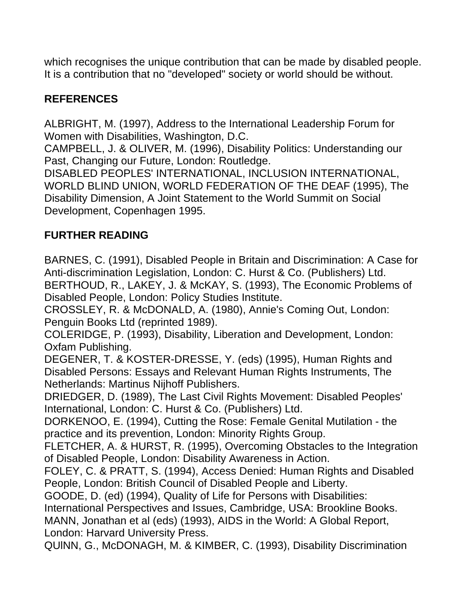which recognises the unique contribution that can be made by disabled people. It is a contribution that no "developed" society or world should be without.

## **REFERENCES**

ALBRIGHT, M. (1997), Address to the International Leadership Forum for Women with Disabilities, Washington, D.C.

CAMPBELL, J. & OLIVER, M. (1996), Disability Politics: Understanding our Past, Changing our Future, London: Routledge.

DISABLED PEOPLES' INTERNATIONAL, INCLUSION INTERNATIONAL, WORLD BLIND UNION, WORLD FEDERATION OF THE DEAF (1995), The Disability Dimension, A Joint Statement to the World Summit on Social Development, Copenhagen 1995.

## **FURTHER READING**

BARNES, C. (1991), Disabled People in Britain and Discrimination: A Case for Anti-discrimination Legislation, London: C. Hurst & Co. (Publishers) Ltd. BERTHOUD, R., LAKEY, J. & McKAY, S. (1993), The Economic Problems of Disabled People, London: Policy Studies Institute.

CROSSLEY, R. & McDONALD, A. (1980), Annie's Coming Out, London: Penguin Books Ltd (reprinted 1989).

COLERIDGE, P. (1993), Disability, Liberation and Development, London: Oxfam Publishing.

DEGENER, T. & KOSTER-DRESSE, Y. (eds) (1995), Human Rights and Disabled Persons: Essays and Relevant Human Rights Instruments, The Netherlands: Martinus Nijhoff Publishers.

DRIEDGER, D. (1989), The Last Civil Rights Movement: Disabled Peoples' International, London: C. Hurst & Co. (Publishers) Ltd.

DORKENOO, E. (1994), Cutting the Rose: Female Genital Mutilation - the practice and its prevention, London: Minority Rights Group.

FLETCHER, A. & HURST, R. (1995), Overcoming Obstacles to the Integration of Disabled People, London: Disability Awareness in Action.

FOLEY, C. & PRATT, S. (1994), Access Denied: Human Rights and Disabled People, London: British Council of Disabled People and Liberty.

GOODE, D. (ed) (1994), Quality of Life for Persons with Disabilities:

International Perspectives and Issues, Cambridge, USA: Brookline Books.

MANN, Jonathan et al (eds) (1993), AIDS in the World: A Global Report, London: Harvard University Press.

QUlNN, G., McDONAGH, M. & KIMBER, C. (1993), Disability Discrimination